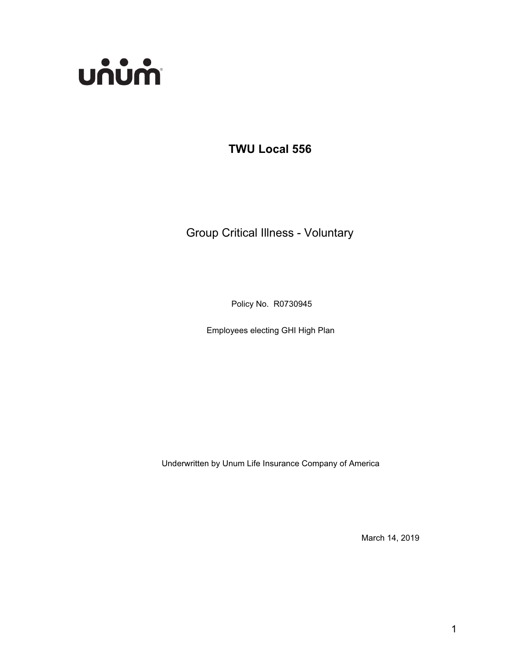

**TWU Local 556**

Group Critical Illness - Voluntary

Policy No. R0730945

Employees electing GHI High Plan

Underwritten by Unum Life Insurance Company of America

March 14, 2019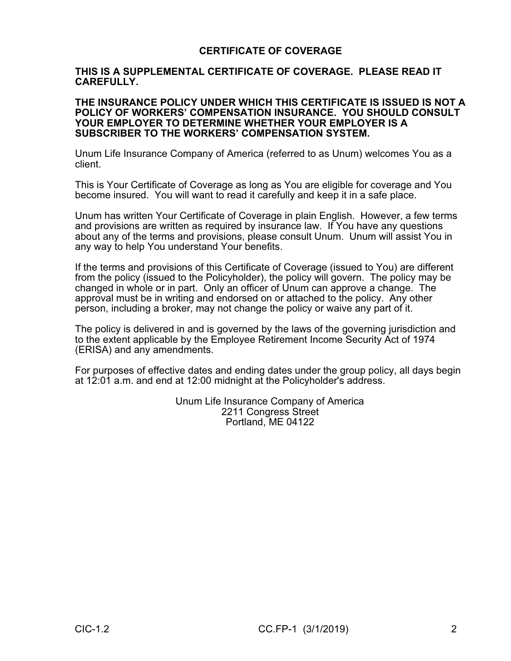# **CERTIFICATE OF COVERAGE**

## **THIS IS A SUPPLEMENTAL CERTIFICATE OF COVERAGE. PLEASE READ IT CAREFULLY.**

#### **THE INSURANCE POLICY UNDER WHICH THIS CERTIFICATE IS ISSUED IS NOT A POLICY OF WORKERS' COMPENSATION INSURANCE. YOU SHOULD CONSULT YOUR EMPLOYER TO DETERMINE WHETHER YOUR EMPLOYER IS A SUBSCRIBER TO THE WORKERS' COMPENSATION SYSTEM.**

Unum Life Insurance Company of America (referred to as Unum) welcomes You as a client.

This is Your Certificate of Coverage as long as You are eligible for coverage and You become insured. You will want to read it carefully and keep it in a safe place.

Unum has written Your Certificate of Coverage in plain English. However, a few terms and provisions are written as required by insurance law. If You have any questions about any of the terms and provisions, please consult Unum. Unum will assist You in any way to help You understand Your benefits.

If the terms and provisions of this Certificate of Coverage (issued to You) are different from the policy (issued to the Policyholder), the policy will govern. The policy may be changed in whole or in part. Only an officer of Unum can approve a change. The approval must be in writing and endorsed on or attached to the policy. Any other person, including a broker, may not change the policy or waive any part of it.

The policy is delivered in and is governed by the laws of the governing jurisdiction and to the extent applicable by the Employee Retirement Income Security Act of 1974 (ERISA) and any amendments.

For purposes of effective dates and ending dates under the group policy, all days begin at 12:01 a.m. and end at 12:00 midnight at the Policyholder's address.

> Unum Life Insurance Company of America 2211 Congress Street Portland, ME 04122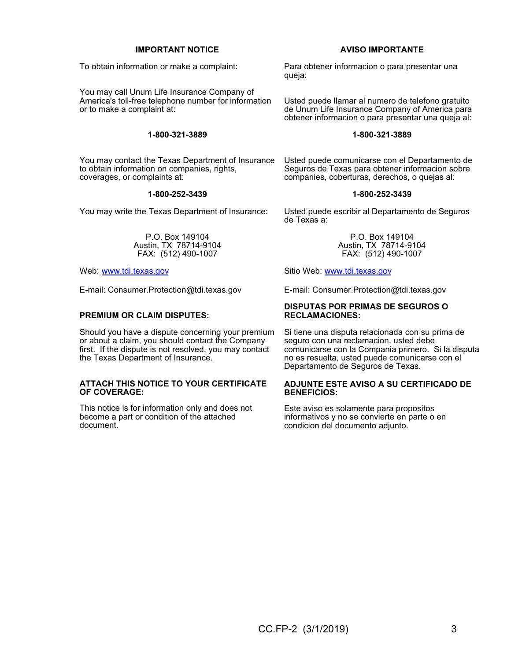#### **IMPORTANT NOTICE**

To obtain information or make a complaint:

You may call Unum Life Insurance Company of America's toll-free telephone number for information or to make a complaint at:

#### **1-800-321-3889**

You may contact the Texas Department of Insurance to obtain information on companies, rights, coverages, or complaints at:

#### **1-800-252-3439**

You may write the Texas Department of Insurance:

P.O. Box 149104 Austin, TX 78714-9104 FAX: (512) 490-1007

Web: www.tdi.texas.gov

E-mail: Consumer.Protection@tdi.texas.gov

#### **PREMIUM OR CLAIM DISPUTES:**

Should you have a dispute concerning your premium or about a claim, you should contact the Company first. If the dispute is not resolved, you may contact the Texas Department of Insurance.

#### **ATTACH THIS NOTICE TO YOUR CERTIFICATE OF COVERAGE:**

This notice is for information only and does not become a part or condition of the attached document.

#### **AVISO IMPORTANTE**

Para obtener informacion o para presentar una queja:

Usted puede llamar al numero de telefono gratuito de Unum Life Insurance Company of America para obtener informacion o para presentar una queja al:

#### **1-800-321-3889**

Usted puede comunicarse con el Departamento de Seguros de Texas para obtener informacion sobre companies, coberturas, derechos, o quejas al:

#### **1-800-252-3439**

Usted puede escribir al Departamento de Seguros de Texas a:

> P.O. Box 149104 Austin, TX 78714-9104 FAX: (512) 490-1007

Sitio Web: www.tdi.texas.gov

E-mail: Consumer.Protection@tdi.texas.gov

#### **DISPUTAS POR PRIMAS DE SEGUROS O RECLAMACIONES:**

Si tiene una disputa relacionada con su prima de seguro con una reclamacion, usted debe comunicarse con la Compania primero. Si la disputa no es resuelta, usted puede comunicarse con el Departamento de Seguros de Texas.

#### **ADJUNTE ESTE AVISO A SU CERTIFICADO DE BENEFICIOS:**

Este aviso es solamente para propositos informativos y no se convierte en parte o en condicion del documento adjunto.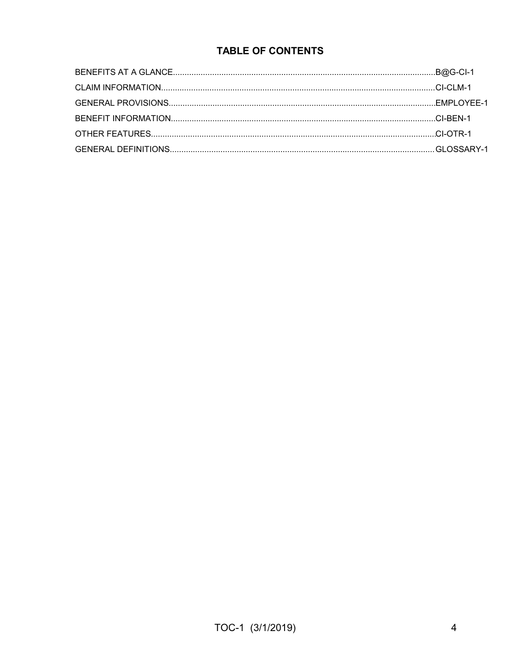# **TABLE OF CONTENTS**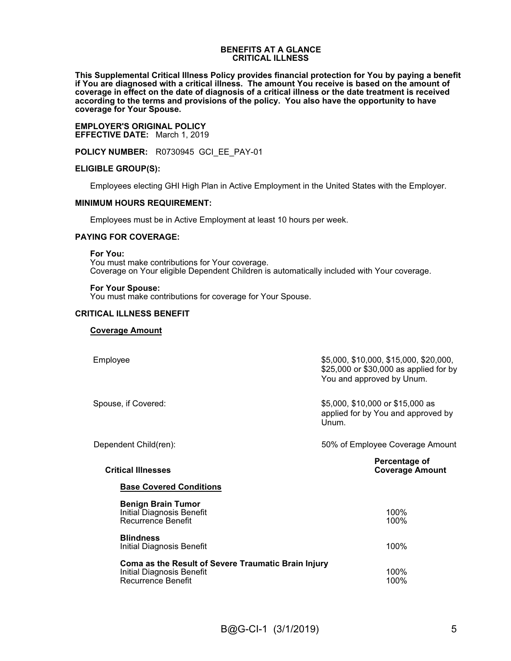#### **BENEFITS AT A GLANCE CRITICAL ILLNESS**

**This Supplemental Critical Illness Policy provides financial protection for You by paying a benefit if You are diagnosed with a critical illness. The amount You receive is based on the amount of coverage in effect on the date of diagnosis of a critical illness or the date treatment is received according to the terms and provisions of the policy. You also have the opportunity to have coverage for Your Spouse.**

**EMPLOYER'S ORIGINAL POLICY EFFECTIVE DATE:** March 1, 2019

**POLICY NUMBER:** R0730945 GCI\_EE\_PAY-01

#### **ELIGIBLE GROUP(S):**

Employees electing GHI High Plan in Active Employment in the United States with the Employer.

#### **MINIMUM HOURS REQUIREMENT:**

Employees must be in Active Employment at least 10 hours per week.

#### **PAYING FOR COVERAGE:**

**For You:**

You must make contributions for Your coverage. Coverage on Your eligible Dependent Children is automatically included with Your coverage.

#### **For Your Spouse:**

You must make contributions for coverage for Your Spouse.

#### **CRITICAL ILLNESS BENEFIT**

#### **Coverage Amount**

| Employee                                                                                                      | \$5,000, \$10,000, \$15,000, \$20,000,<br>\$25,000 or \$30,000 as applied for by<br>You and approved by Unum. |
|---------------------------------------------------------------------------------------------------------------|---------------------------------------------------------------------------------------------------------------|
| Spouse, if Covered:                                                                                           | \$5,000, \$10,000 or \$15,000 as<br>applied for by You and approved by<br>Unum.                               |
| Dependent Child(ren):                                                                                         | 50% of Employee Coverage Amount                                                                               |
| <b>Critical Illnesses</b>                                                                                     | Percentage of<br><b>Coverage Amount</b>                                                                       |
| <b>Base Covered Conditions</b>                                                                                |                                                                                                               |
| <b>Benign Brain Tumor</b><br>Initial Diagnosis Benefit<br>Recurrence Benefit                                  | 100%<br>100%                                                                                                  |
| <b>Blindness</b><br>Initial Diagnosis Benefit                                                                 | 100%                                                                                                          |
| Coma as the Result of Severe Traumatic Brain Injury<br><b>Initial Diagnosis Benefit</b><br>Recurrence Benefit | 100%<br>100%                                                                                                  |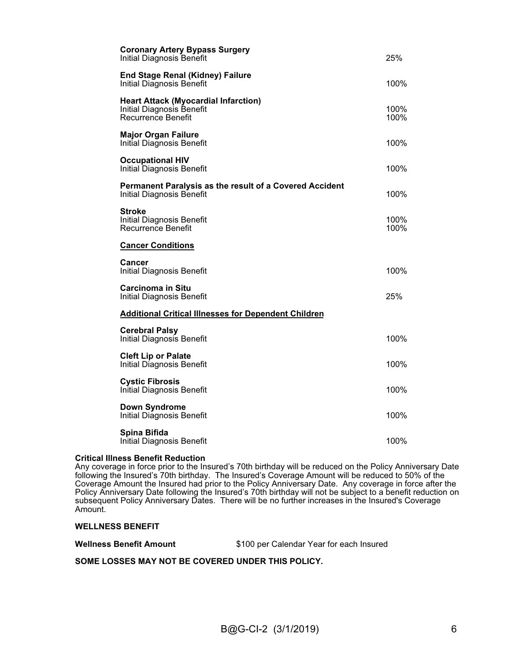| <b>Coronary Artery Bypass Surgery</b><br><b>Initial Diagnosis Benefit</b>                      | 25%             |
|------------------------------------------------------------------------------------------------|-----------------|
| <b>End Stage Renal (Kidney) Failure</b><br>Initial Diagnosis Benefit                           | 100%            |
| <b>Heart Attack (Myocardial Infarction)</b><br>Initial Diagnosis Benefit<br>Recurrence Benefit | 100%<br>$100\%$ |
| <b>Major Organ Failure</b><br>Initial Diagnosis Benefit                                        | 100%            |
| <b>Occupational HIV</b><br>Initial Diagnosis Benefit                                           | 100%            |
| Permanent Paralysis as the result of a Covered Accident<br>Initial Diagnosis Benefit           | 100%            |
| <b>Stroke</b><br><b>Initial Diagnosis Benefit</b><br>Recurrence Benefit                        | 100%<br>$100\%$ |
| <b>Cancer Conditions</b>                                                                       |                 |
| Cancer<br><b>Initial Diagnosis Benefit</b>                                                     | 100%            |
| <b>Carcinoma in Situ</b><br>Initial Diagnosis Benefit                                          | 25%             |
| <b>Additional Critical Illnesses for Dependent Children</b>                                    |                 |
| <b>Cerebral Palsy</b><br>Initial Diagnosis Benefit                                             | 100%            |
| <b>Cleft Lip or Palate</b><br>Initial Diagnosis Benefit                                        | 100%            |
| <b>Cystic Fibrosis</b><br>Initial Diagnosis Benefit                                            | 100%            |
| <b>Down Syndrome</b><br><b>Initial Diagnosis Benefit</b>                                       | 100%            |
| Spina Bifida<br><b>Initial Diagnosis Benefit</b>                                               | 100%            |

#### **Critical Illness Benefit Reduction**

Any coverage in force prior to the Insured's 70th birthday will be reduced on the Policy Anniversary Date following the Insured's 70th birthday. The Insured's Coverage Amount will be reduced to 50% of the Coverage Amount the Insured had prior to the Policy Anniversary Date. Any coverage in force after the Policy Anniversary Date following the Insured's 70th birthday will not be subject to a benefit reduction on subsequent Policy Anniversary Dates. There will be no further increases in the Insured's Coverage Amount.

#### **WELLNESS BENEFIT**

| <b>Wellness Benefit Amount</b> | \$100 per Calendar Year for each Insured |
|--------------------------------|------------------------------------------|
|--------------------------------|------------------------------------------|

#### **SOME LOSSES MAY NOT BE COVERED UNDER THIS POLICY.**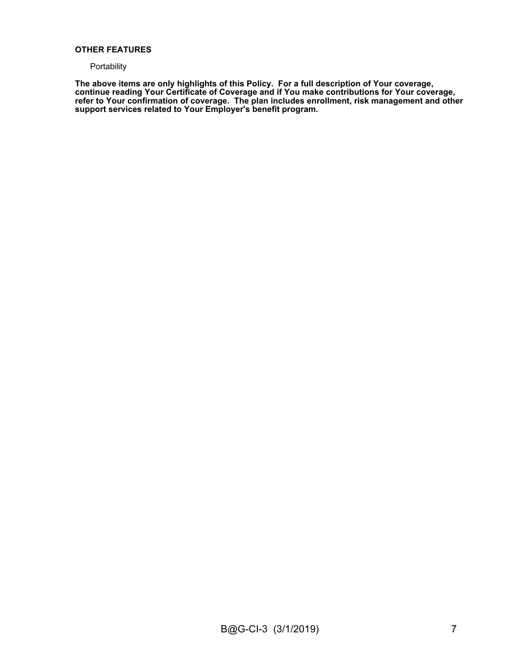#### **OTHER FEATURES**

#### **Portability**

**The above items are only highlights of this Policy. For a full description of Your coverage, continue reading Your Certificate of Coverage and if You make contributions for Your coverage, refer to Your confirmation of coverage. The plan includes enrollment, risk management and other support services related to Your Employer's benefit program.**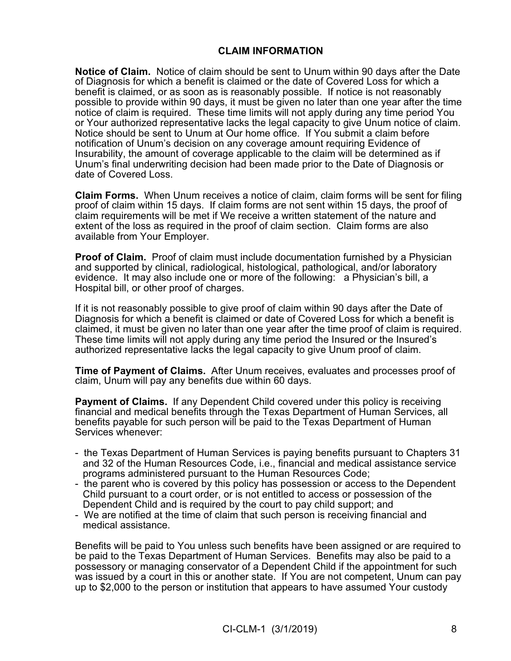# **CLAIM INFORMATION**

**Notice of Claim.** Notice of claim should be sent to Unum within 90 days after the Date of Diagnosis for which a benefit is claimed or the date of Covered Loss for which a benefit is claimed, or as soon as is reasonably possible. If notice is not reasonably possible to provide within 90 days, it must be given no later than one year after the time notice of claim is required. These time limits will not apply during any time period You or Your authorized representative lacks the legal capacity to give Unum notice of claim. Notice should be sent to Unum at Our home office. If You submit a claim before notification of Unum's decision on any coverage amount requiring Evidence of Insurability, the amount of coverage applicable to the claim will be determined as if Unum's final underwriting decision had been made prior to the Date of Diagnosis or date of Covered Loss.

**Claim Forms.** When Unum receives a notice of claim, claim forms will be sent for filing proof of claim within 15 days. If claim forms are not sent within 15 days, the proof of claim requirements will be met if We receive a written statement of the nature and extent of the loss as required in the proof of claim section. Claim forms are also available from Your Employer.

**Proof of Claim.** Proof of claim must include documentation furnished by a Physician and supported by clinical, radiological, histological, pathological, and/or laboratory evidence. It may also include one or more of the following: a Physician's bill, a Hospital bill, or other proof of charges.

If it is not reasonably possible to give proof of claim within 90 days after the Date of Diagnosis for which a benefit is claimed or date of Covered Loss for which a benefit is claimed, it must be given no later than one year after the time proof of claim is required. These time limits will not apply during any time period the Insured or the Insured's authorized representative lacks the legal capacity to give Unum proof of claim.

**Time of Payment of Claims.** After Unum receives, evaluates and processes proof of claim, Unum will pay any benefits due within 60 days.

**Payment of Claims.** If any Dependent Child covered under this policy is receiving financial and medical benefits through the Texas Department of Human Services, all benefits payable for such person will be paid to the Texas Department of Human Services whenever:

- the Texas Department of Human Services is paying benefits pursuant to Chapters 31 and 32 of the Human Resources Code, i.e., financial and medical assistance service programs administered pursuant to the Human Resources Code;
- the parent who is covered by this policy has possession or access to the Dependent Child pursuant to a court order, or is not entitled to access or possession of the Dependent Child and is required by the court to pay child support; and
- We are notified at the time of claim that such person is receiving financial and medical assistance.

Benefits will be paid to You unless such benefits have been assigned or are required to be paid to the Texas Department of Human Services. Benefits may also be paid to a possessory or managing conservator of a Dependent Child if the appointment for such was issued by a court in this or another state. If You are not competent, Unum can pay up to \$2,000 to the person or institution that appears to have assumed Your custody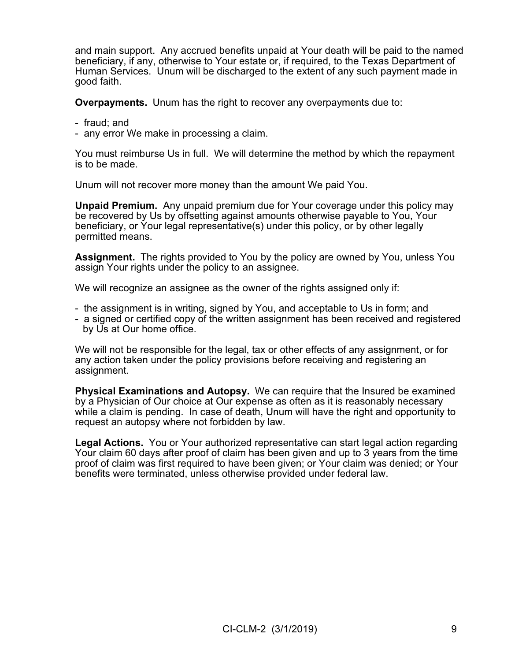and main support. Any accrued benefits unpaid at Your death will be paid to the named beneficiary, if any, otherwise to Your estate or, if required, to the Texas Department of Human Services. Unum will be discharged to the extent of any such payment made in good faith.

**Overpayments.** Unum has the right to recover any overpayments due to:

- fraud; and
- any error We make in processing a claim.

You must reimburse Us in full. We will determine the method by which the repayment is to be made.

Unum will not recover more money than the amount We paid You.

**Unpaid Premium.** Any unpaid premium due for Your coverage under this policy may be recovered by Us by offsetting against amounts otherwise payable to You, Your beneficiary, or Your legal representative(s) under this policy, or by other legally permitted means.

**Assignment.** The rights provided to You by the policy are owned by You, unless You assign Your rights under the policy to an assignee.

We will recognize an assignee as the owner of the rights assigned only if:

- the assignment is in writing, signed by You, and acceptable to Us in form; and
- a signed or certified copy of the written assignment has been received and registered by Us at Our home office.

We will not be responsible for the legal, tax or other effects of any assignment, or for any action taken under the policy provisions before receiving and registering an assignment.

**Physical Examinations and Autopsy.** We can require that the Insured be examined by a Physician of Our choice at Our expense as often as it is reasonably necessary while a claim is pending. In case of death, Unum will have the right and opportunity to request an autopsy where not forbidden by law.

**Legal Actions.** You or Your authorized representative can start legal action regarding Your claim 60 days after proof of claim has been given and up to 3 years from the time proof of claim was first required to have been given; or Your claim was denied; or Your benefits were terminated, unless otherwise provided under federal law.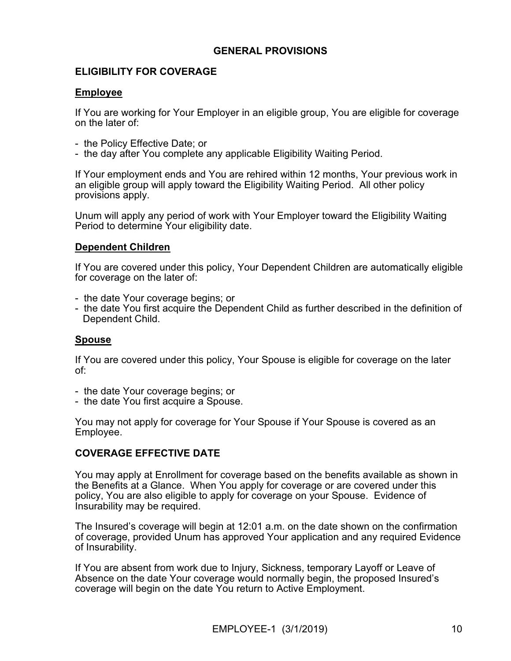# **GENERAL PROVISIONS**

# **ELIGIBILITY FOR COVERAGE**

# **Employee**

If You are working for Your Employer in an eligible group, You are eligible for coverage on the later of:

- the Policy Effective Date; or
- the day after You complete any applicable Eligibility Waiting Period.

If Your employment ends and You are rehired within 12 months, Your previous work in an eligible group will apply toward the Eligibility Waiting Period. All other policy provisions apply.

Unum will apply any period of work with Your Employer toward the Eligibility Waiting Period to determine Your eligibility date.

# **Dependent Children**

If You are covered under this policy, Your Dependent Children are automatically eligible for coverage on the later of:

- the date Your coverage begins; or
- the date You first acquire the Dependent Child as further described in the definition of Dependent Child.

# **Spouse**

If You are covered under this policy, Your Spouse is eligible for coverage on the later of:

- the date Your coverage begins; or
- the date You first acquire a Spouse.

You may not apply for coverage for Your Spouse if Your Spouse is covered as an Employee.

# **COVERAGE EFFECTIVE DATE**

You may apply at Enrollment for coverage based on the benefits available as shown in the Benefits at a Glance. When You apply for coverage or are covered under this policy, You are also eligible to apply for coverage on your Spouse. Evidence of Insurability may be required.

The Insured's coverage will begin at 12:01 a.m. on the date shown on the confirmation of coverage, provided Unum has approved Your application and any required Evidence of Insurability.

If You are absent from work due to Injury, Sickness, temporary Layoff or Leave of Absence on the date Your coverage would normally begin, the proposed Insured's coverage will begin on the date You return to Active Employment.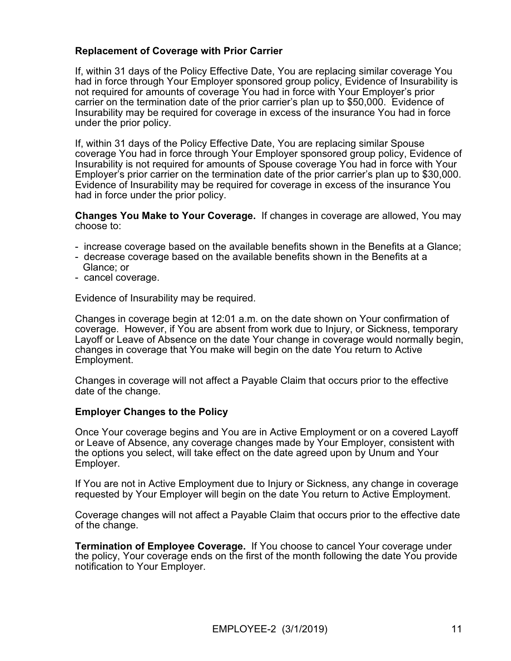# **Replacement of Coverage with Prior Carrier**

If, within 31 days of the Policy Effective Date, You are replacing similar coverage You had in force through Your Employer sponsored group policy, Evidence of Insurability is not required for amounts of coverage You had in force with Your Employer's prior carrier on the termination date of the prior carrier's plan up to \$50,000. Evidence of Insurability may be required for coverage in excess of the insurance You had in force under the prior policy.

If, within 31 days of the Policy Effective Date, You are replacing similar Spouse coverage You had in force through Your Employer sponsored group policy, Evidence of Insurability is not required for amounts of Spouse coverage You had in force with Your Employer's prior carrier on the termination date of the prior carrier's plan up to \$30,000. Evidence of Insurability may be required for coverage in excess of the insurance You had in force under the prior policy.

**Changes You Make to Your Coverage.** If changes in coverage are allowed, You may choose to:

- increase coverage based on the available benefits shown in the Benefits at a Glance;
- decrease coverage based on the available benefits shown in the Benefits at a Glance; or
- cancel coverage.

Evidence of Insurability may be required.

Changes in coverage begin at 12:01 a.m. on the date shown on Your confirmation of coverage. However, if You are absent from work due to Injury, or Sickness, temporary Layoff or Leave of Absence on the date Your change in coverage would normally begin, changes in coverage that You make will begin on the date You return to Active Employment.

Changes in coverage will not affect a Payable Claim that occurs prior to the effective date of the change.

## **Employer Changes to the Policy**

Once Your coverage begins and You are in Active Employment or on a covered Layoff or Leave of Absence, any coverage changes made by Your Employer, consistent with the options you select, will take effect on the date agreed upon by Unum and Your Employer.

If You are not in Active Employment due to Injury or Sickness, any change in coverage requested by Your Employer will begin on the date You return to Active Employment.

Coverage changes will not affect a Payable Claim that occurs prior to the effective date of the change.

**Termination of Employee Coverage.** If You choose to cancel Your coverage under the policy, Your coverage ends on the first of the month following the date You provide notification to Your Employer.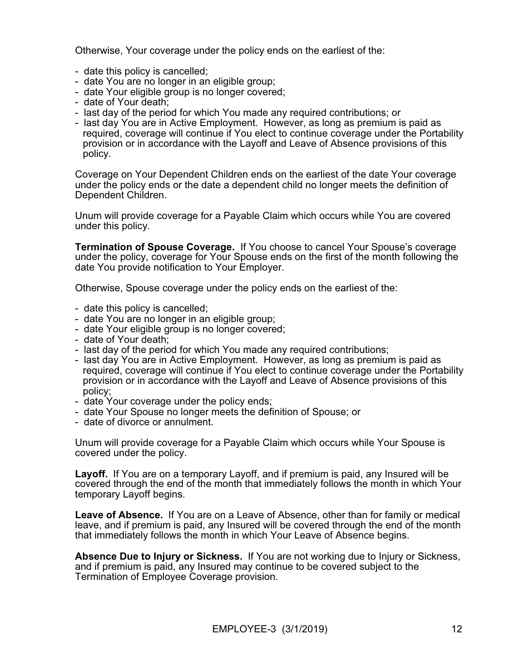Otherwise, Your coverage under the policy ends on the earliest of the:

- date this policy is cancelled;
- date You are no longer in an eligible group;
- date Your eligible group is no longer covered;
- date of Your death;
- last day of the period for which You made any required contributions; or
- last day You are in Active Employment. However, as long as premium is paid as required, coverage will continue if You elect to continue coverage under the Portability provision or in accordance with the Layoff and Leave of Absence provisions of this policy.

Coverage on Your Dependent Children ends on the earliest of the date Your coverage under the policy ends or the date a dependent child no longer meets the definition of Dependent Children.

Unum will provide coverage for a Payable Claim which occurs while You are covered under this policy.

**Termination of Spouse Coverage.** If You choose to cancel Your Spouse's coverage under the policy, coverage for Your Spouse ends on the first of the month following the date You provide notification to Your Employer.

Otherwise, Spouse coverage under the policy ends on the earliest of the:

- date this policy is cancelled;
- date You are no longer in an eligible group;
- date Your eligible group is no longer covered;
- date of Your death;
- last day of the period for which You made any required contributions;
- last day You are in Active Employment. However, as long as premium is paid as required, coverage will continue if You elect to continue coverage under the Portability provision or in accordance with the Layoff and Leave of Absence provisions of this policy;
- date Your coverage under the policy ends;
- date Your Spouse no longer meets the definition of Spouse; or
- date of divorce or annulment.

Unum will provide coverage for a Payable Claim which occurs while Your Spouse is covered under the policy.

**Layoff.** If You are on a temporary Layoff, and if premium is paid, any Insured will be covered through the end of the month that immediately follows the month in which Your temporary Layoff begins.

**Leave of Absence.** If You are on a Leave of Absence, other than for family or medical leave, and if premium is paid, any Insured will be covered through the end of the month that immediately follows the month in which Your Leave of Absence begins.

**Absence Due to Injury or Sickness.** If You are not working due to Injury or Sickness, and if premium is paid, any Insured may continue to be covered subject to the Termination of Employee Coverage provision.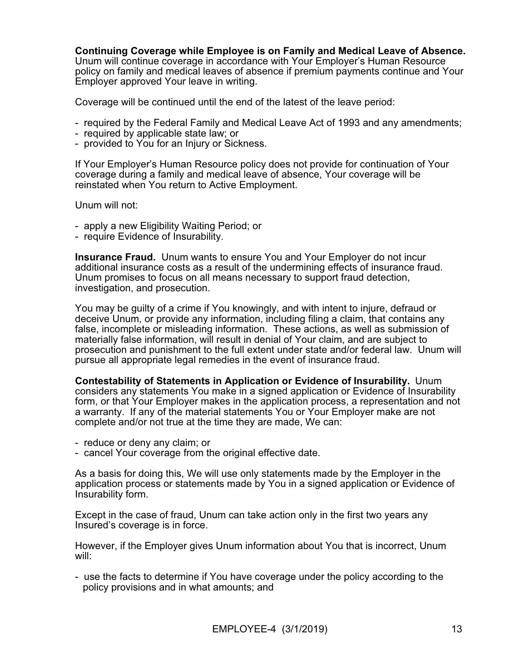# **Continuing Coverage while Employee is on Family and Medical Leave of Absence.**<br>Unum will continue coverage in accordance with Your Employer's Human Resource

policy on family and medical leaves of absence if premium payments continue and Your Employer approved Your leave in writing.

Coverage will be continued until the end of the latest of the leave period:

- required by the Federal Family and Medical Leave Act of 1993 and any amendments;
- required by applicable state law; or
- provided to You for an Injury or Sickness.

If Your Employer's Human Resource policy does not provide for continuation of Your coverage during a family and medical leave of absence, Your coverage will be reinstated when You return to Active Employment.

Unum will not:

- apply a new Eligibility Waiting Period; or
- require Evidence of Insurability.

**Insurance Fraud.** Unum wants to ensure You and Your Employer do not incur additional insurance costs as a result of the undermining effects of insurance fraud. Unum promises to focus on all means necessary to support fraud detection, investigation, and prosecution.

You may be guilty of a crime if You knowingly, and with intent to injure, defraud or deceive Unum, or provide any information, including filing a claim, that contains any false, incomplete or misleading information. These actions, as well as submission of materially false information, will result in denial of Your claim, and are subject to prosecution and punishment to the full extent under state and/or federal law. Unum will pursue all appropriate legal remedies in the event of insurance fraud.

**Contestability of Statements in Application or Evidence of Insurability.** Unum considers any statements You make in a signed application or Evidence of Insurability form, or that Your Employer makes in the application process, a representation and not a warranty. If any of the material statements You or Your Employer make are not complete and/or not true at the time they are made, We can:

- reduce or deny any claim; or
- cancel Your coverage from the original effective date.

As a basis for doing this, We will use only statements made by the Employer in the application process or statements made by You in a signed application or Evidence of Insurability form.

Except in the case of fraud, Unum can take action only in the first two years any Insured's coverage is in force.

However, if the Employer gives Unum information about You that is incorrect, Unum will:

- use the facts to determine if You have coverage under the policy according to the policy provisions and in what amounts; and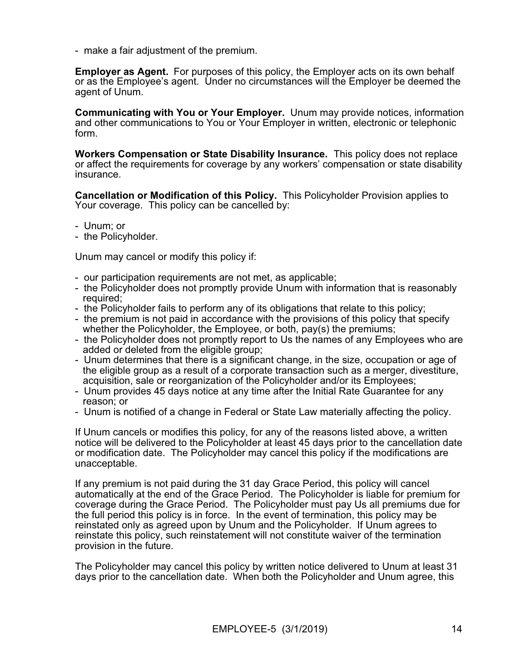- make a fair adjustment of the premium.

**Employer as Agent.** For purposes of this policy, the Employer acts on its own behalf or as the Employee's agent. Under no circumstances will the Employer be deemed the agent of Unum.

**Communicating with You or Your Employer.** Unum may provide notices, information and other communications to You or Your Employer in written, electronic or telephonic form.

**Workers Compensation or State Disability Insurance.** This policy does not replace or affect the requirements for coverage by any workers' compensation or state disability insurance.

**Cancellation or Modification of this Policy.** This Policyholder Provision applies to Your coverage. This policy can be cancelled by:

- Unum; or
- the Policyholder.

Unum may cancel or modify this policy if:

- our participation requirements are not met, as applicable;
- the Policyholder does not promptly provide Unum with information that is reasonably required;
- the Policyholder fails to perform any of its obligations that relate to this policy;
- the premium is not paid in accordance with the provisions of this policy that specify whether the Policyholder, the Employee, or both, pay(s) the premiums;
- the Policyholder does not promptly report to Us the names of any Employees who are added or deleted from the eligible group;
- Unum determines that there is a significant change, in the size, occupation or age of the eligible group as a result of a corporate transaction such as a merger, divestiture, acquisition, sale or reorganization of the Policyholder and/or its Employees;
- Unum provides 45 days notice at any time after the Initial Rate Guarantee for any reason; or
- Unum is notified of a change in Federal or State Law materially affecting the policy.

If Unum cancels or modifies this policy, for any of the reasons listed above, a written notice will be delivered to the Policyholder at least 45 days prior to the cancellation date or modification date. The Policyholder may cancel this policy if the modifications are unacceptable.

If any premium is not paid during the 31 day Grace Period, this policy will cancel automatically at the end of the Grace Period. The Policyholder is liable for premium for coverage during the Grace Period. The Policyholder must pay Us all premiums due for the full period this policy is in force. In the event of termination, this policy may be reinstated only as agreed upon by Unum and the Policyholder. If Unum agrees to reinstate this policy, such reinstatement will not constitute waiver of the termination provision in the future.

The Policyholder may cancel this policy by written notice delivered to Unum at least 31 days prior to the cancellation date. When both the Policyholder and Unum agree, this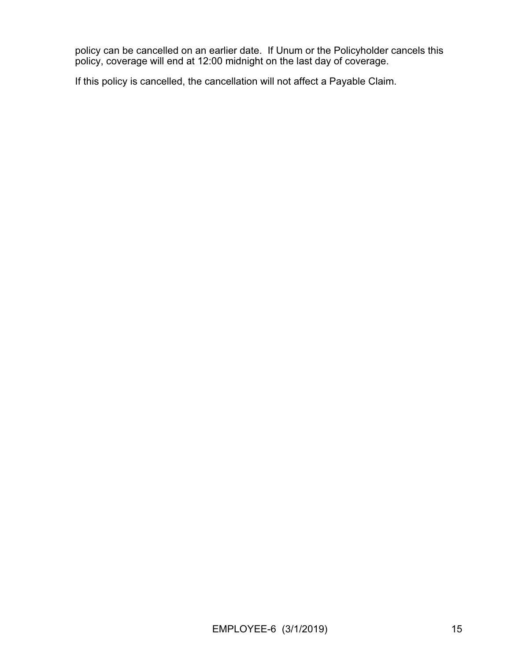policy can be cancelled on an earlier date. If Unum or the Policyholder cancels this policy, coverage will end at 12:00 midnight on the last day of coverage.

If this policy is cancelled, the cancellation will not affect a Payable Claim.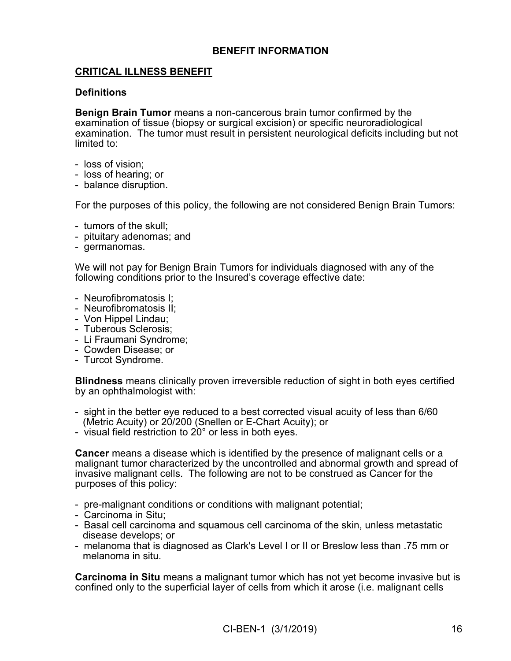# **BENEFIT INFORMATION**

# **CRITICAL ILLNESS BENEFIT**

## **Definitions**

**Benign Brain Tumor** means a non-cancerous brain tumor confirmed by the examination of tissue (biopsy or surgical excision) or specific neuroradiological examination. The tumor must result in persistent neurological deficits including but not limited to:

- loss of vision;
- loss of hearing; or
- balance disruption.

For the purposes of this policy, the following are not considered Benign Brain Tumors:

- tumors of the skull;
- pituitary adenomas; and
- germanomas.

We will not pay for Benign Brain Tumors for individuals diagnosed with any of the following conditions prior to the Insured's coverage effective date:

- Neurofibromatosis I;
- Neurofibromatosis II;
- Von Hippel Lindau;
- Tuberous Sclerosis;
- Li Fraumani Syndrome;
- Cowden Disease; or
- Turcot Syndrome.

**Blindness** means clinically proven irreversible reduction of sight in both eyes certified by an ophthalmologist with:

- sight in the better eye reduced to a best corrected visual acuity of less than 6/60 (Metric Acuity) or 20/200 (Snellen or E-Chart Acuity); or
- visual field restriction to 20° or less in both eyes.

**Cancer** means a disease which is identified by the presence of malignant cells or a malignant tumor characterized by the uncontrolled and abnormal growth and spread of invasive malignant cells. The following are not to be construed as Cancer for the purposes of this policy:

- pre-malignant conditions or conditions with malignant potential;
- Carcinoma in Situ;
- Basal cell carcinoma and squamous cell carcinoma of the skin, unless metastatic disease develops; or
- melanoma that is diagnosed as Clark's Level I or II or Breslow less than .75 mm or melanoma in situ.

**Carcinoma in Situ** means a malignant tumor which has not yet become invasive but is confined only to the superficial layer of cells from which it arose (i.e. malignant cells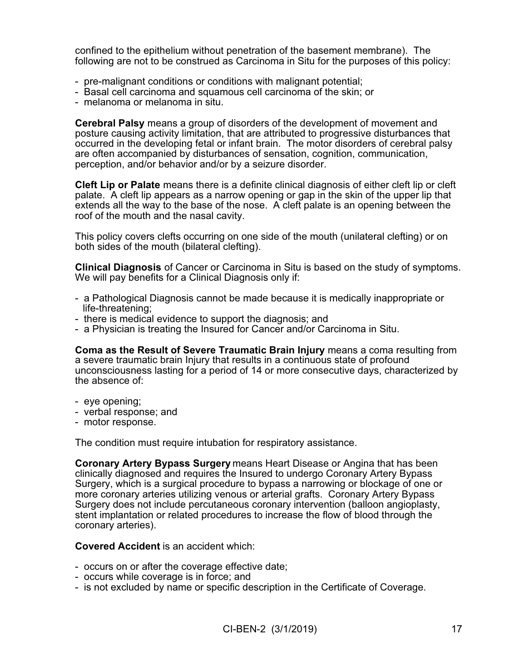confined to the epithelium without penetration of the basement membrane). The following are not to be construed as Carcinoma in Situ for the purposes of this policy:

- pre-malignant conditions or conditions with malignant potential;
- Basal cell carcinoma and squamous cell carcinoma of the skin; or
- melanoma or melanoma in situ.

**Cerebral Palsy** means a group of disorders of the development of movement and posture causing activity limitation, that are attributed to progressive disturbances that occurred in the developing fetal or infant brain. The motor disorders of cerebral palsy are often accompanied by disturbances of sensation, cognition, communication, perception, and/or behavior and/or by a seizure disorder.

**Cleft Lip or Palate** means there is a definite clinical diagnosis of either cleft lip or cleft palate. A cleft lip appears as a narrow opening or gap in the skin of the upper lip that extends all the way to the base of the nose. A cleft palate is an opening between the roof of the mouth and the nasal cavity.

This policy covers clefts occurring on one side of the mouth (unilateral clefting) or on both sides of the mouth (bilateral clefting).

**Clinical Diagnosis** of Cancer or Carcinoma in Situ is based on the study of symptoms. We will pay benefits for a Clinical Diagnosis only if:

- a Pathological Diagnosis cannot be made because it is medically inappropriate or life-threatening;
- there is medical evidence to support the diagnosis; and
- a Physician is treating the Insured for Cancer and/or Carcinoma in Situ.

**Coma as the Result of Severe Traumatic Brain Injury** means a coma resulting from a severe traumatic brain Injury that results in a continuous state of profound unconsciousness lasting for a period of 14 or more consecutive days, characterized by the absence of:

- eye opening;
- verbal response; and
- motor response.

The condition must require intubation for respiratory assistance.

**Coronary Artery Bypass Surgery** means Heart Disease or Angina that has been clinically diagnosed and requires the Insured to undergo Coronary Artery Bypass Surgery, which is a surgical procedure to bypass a narrowing or blockage of one or more coronary arteries utilizing venous or arterial grafts. Coronary Artery Bypass Surgery does not include percutaneous coronary intervention (balloon angioplasty, stent implantation or related procedures to increase the flow of blood through the coronary arteries).

## **Covered Accident** is an accident which:

- occurs on or after the coverage effective date;
- occurs while coverage is in force; and
- is not excluded by name or specific description in the Certificate of Coverage.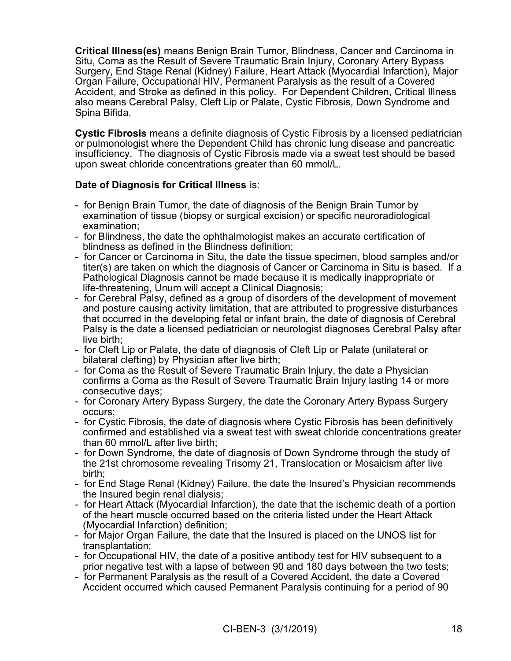**Critical Illness(es)** means Benign Brain Tumor, Blindness, Cancer and Carcinoma in Situ, Coma as the Result of Severe Traumatic Brain Injury, Coronary Artery Bypass Surgery, End Stage Renal (Kidney) Failure, Heart Attack (Myocardial Infarction), Major Organ Failure, Occupational HIV, Permanent Paralysis as the result of a Covered Accident, and Stroke as defined in this policy. For Dependent Children, Critical Illness also means Cerebral Palsy, Cleft Lip or Palate, Cystic Fibrosis, Down Syndrome and Spina Bifida.

**Cystic Fibrosis** means a definite diagnosis of Cystic Fibrosis by a licensed pediatrician or pulmonologist where the Dependent Child has chronic lung disease and pancreatic insufficiency. The diagnosis of Cystic Fibrosis made via a sweat test should be based upon sweat chloride concentrations greater than 60 mmol/L.

# **Date of Diagnosis for Critical Illness** is:

- for Benign Brain Tumor, the date of diagnosis of the Benign Brain Tumor by examination of tissue (biopsy or surgical excision) or specific neuroradiological examination;
- for Blindness, the date the ophthalmologist makes an accurate certification of blindness as defined in the Blindness definition;
- for Cancer or Carcinoma in Situ, the date the tissue specimen, blood samples and/or titer(s) are taken on which the diagnosis of Cancer or Carcinoma in Situ is based. If a Pathological Diagnosis cannot be made because it is medically inappropriate or life-threatening, Unum will accept a Clinical Diagnosis;
- for Cerebral Palsy, defined as a group of disorders of the development of movement and posture causing activity limitation, that are attributed to progressive disturbances that occurred in the developing fetal or infant brain, the date of diagnosis of Cerebral Palsy is the date a licensed pediatrician or neurologist diagnoses Cerebral Palsy after live birth;
- for Cleft Lip or Palate, the date of diagnosis of Cleft Lip or Palate (unilateral or bilateral clefting) by Physician after live birth;
- for Coma as the Result of Severe Traumatic Brain Injury, the date a Physician confirms a Coma as the Result of Severe Traumatic Brain Injury lasting 14 or more consecutive days;
- for Coronary Artery Bypass Surgery, the date the Coronary Artery Bypass Surgery occurs;
- for Cystic Fibrosis, the date of diagnosis where Cystic Fibrosis has been definitively confirmed and established via a sweat test with sweat chloride concentrations greater than 60 mmol/L after live birth;
- for Down Syndrome, the date of diagnosis of Down Syndrome through the study of the 21st chromosome revealing Trisomy 21, Translocation or Mosaicism after live birth;
- for End Stage Renal (Kidney) Failure, the date the Insured's Physician recommends the Insured begin renal dialysis;
- for Heart Attack (Myocardial Infarction), the date that the ischemic death of a portion of the heart muscle occurred based on the criteria listed under the Heart Attack (Myocardial Infarction) definition;
- for Major Organ Failure, the date that the Insured is placed on the UNOS list for transplantation;
- for Occupational HIV, the date of a positive antibody test for HIV subsequent to a prior negative test with a lapse of between 90 and 180 days between the two tests;
- for Permanent Paralysis as the result of a Covered Accident, the date a Covered Accident occurred which caused Permanent Paralysis continuing for a period of 90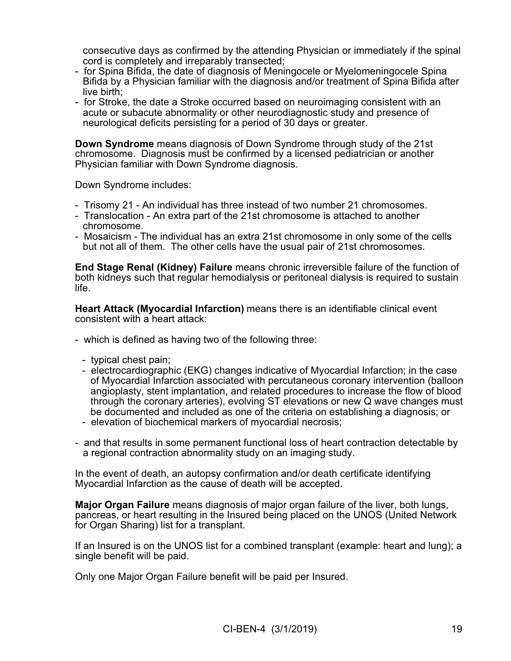consecutive days as confirmed by the attending Physician or immediately if the spinal cord is completely and irreparably transected;

- for Spina Bifida, the date of diagnosis of Meningocele or Myelomeningocele Spina Bifida by a Physician familiar with the diagnosis and/or treatment of Spina Bifida after live birth;
- for Stroke, the date a Stroke occurred based on neuroimaging consistent with an acute or subacute abnormality or other neurodiagnostic study and presence of neurological deficits persisting for a period of 30 days or greater.

**Down Syndrome** means diagnosis of Down Syndrome through study of the 21st chromosome. Diagnosis must be confirmed by a licensed pediatrician or another Physician familiar with Down Syndrome diagnosis.

Down Syndrome includes:

- Trisomy 21 An individual has three instead of two number 21 chromosomes.
- Translocation An extra part of the 21st chromosome is attached to another chromosome.
- Mosaicism The individual has an extra 21st chromosome in only some of the cells but not all of them. The other cells have the usual pair of 21st chromosomes.

**End Stage Renal (Kidney) Failure** means chronic irreversible failure of the function of both kidneys such that regular hemodialysis or peritoneal dialysis is required to sustain life.

**Heart Attack (Myocardial Infarction)** means there is an identifiable clinical event consistent with a heart attack:

- which is defined as having two of the following three:
	- typical chest pain;
	- electrocardiographic (EKG) changes indicative of Myocardial Infarction; in the case of Myocardial Infarction associated with percutaneous coronary intervention (balloon angioplasty, stent implantation, and related procedures to increase the flow of blood through the coronary arteries), evolving ST elevations or new Q wave changes must be documented and included as one of the criteria on establishing a diagnosis; or
	- elevation of biochemical markers of myocardial necrosis;
- and that results in some permanent functional loss of heart contraction detectable by a regional contraction abnormality study on an imaging study.

In the event of death, an autopsy confirmation and/or death certificate identifying Myocardial Infarction as the cause of death will be accepted.

**Major Organ Failure** means diagnosis of major organ failure of the liver, both lungs, pancreas, or heart resulting in the Insured being placed on the UNOS (United Network for Organ Sharing) list for a transplant.

If an Insured is on the UNOS list for a combined transplant (example: heart and lung); a single benefit will be paid.

Only one Major Organ Failure benefit will be paid per Insured.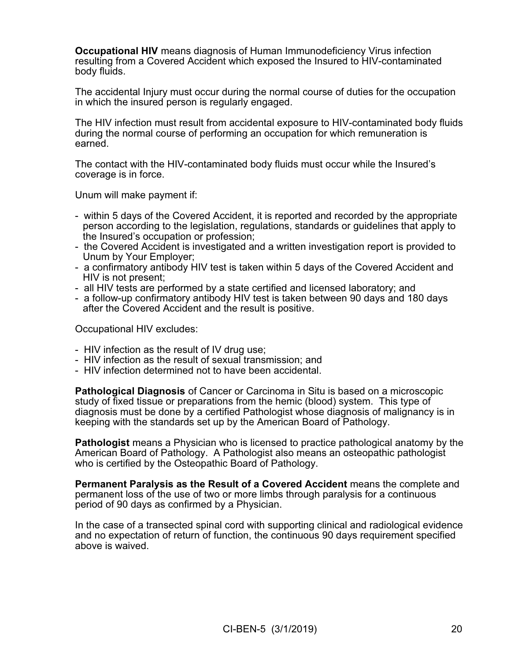**Occupational HIV** means diagnosis of Human Immunodeficiency Virus infection resulting from a Covered Accident which exposed the Insured to HIV-contaminated body fluids.

The accidental Injury must occur during the normal course of duties for the occupation in which the insured person is regularly engaged.

The HIV infection must result from accidental exposure to HIV-contaminated body fluids during the normal course of performing an occupation for which remuneration is earned.

The contact with the HIV-contaminated body fluids must occur while the Insured's coverage is in force.

Unum will make payment if:

- within 5 days of the Covered Accident, it is reported and recorded by the appropriate person according to the legislation, regulations, standards or guidelines that apply to the Insured's occupation or profession;
- the Covered Accident is investigated and a written investigation report is provided to Unum by Your Employer;
- a confirmatory antibody HIV test is taken within 5 days of the Covered Accident and HIV is not present;
- all HIV tests are performed by a state certified and licensed laboratory; and
- a follow-up confirmatory antibody HIV test is taken between 90 days and 180 days after the Covered Accident and the result is positive.

Occupational HIV excludes:

- HIV infection as the result of IV drug use;
- HIV infection as the result of sexual transmission; and
- HIV infection determined not to have been accidental.

**Pathological Diagnosis** of Cancer or Carcinoma in Situ is based on a microscopic study of fixed tissue or preparations from the hemic (blood) system. This type of diagnosis must be done by a certified Pathologist whose diagnosis of malignancy is in keeping with the standards set up by the American Board of Pathology.

**Pathologist** means a Physician who is licensed to practice pathological anatomy by the American Board of Pathology. A Pathologist also means an osteopathic pathologist who is certified by the Osteopathic Board of Pathology.

**Permanent Paralysis as the Result of a Covered Accident** means the complete and permanent loss of the use of two or more limbs through paralysis for a continuous period of 90 days as confirmed by a Physician.

In the case of a transected spinal cord with supporting clinical and radiological evidence and no expectation of return of function, the continuous 90 days requirement specified above is waived.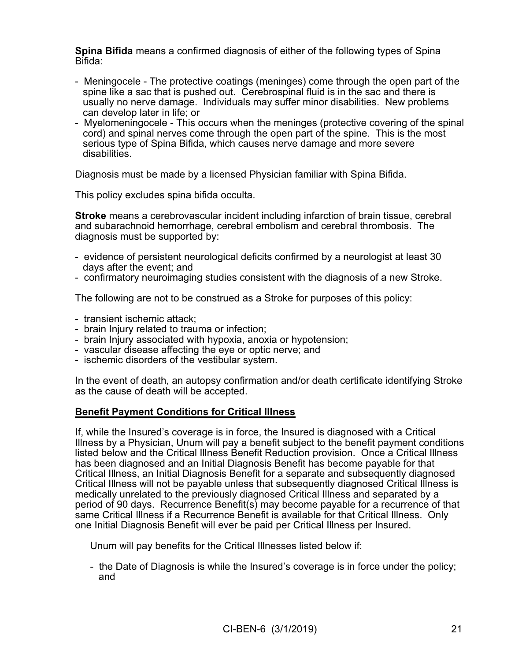**Spina Bifida** means a confirmed diagnosis of either of the following types of Spina Bifida:

- Meningocele The protective coatings (meninges) come through the open part of the spine like a sac that is pushed out. Cerebrospinal fluid is in the sac and there is usually no nerve damage. Individuals may suffer minor disabilities. New problems can develop later in life; or
- Myelomeningocele This occurs when the meninges (protective covering of the spinal cord) and spinal nerves come through the open part of the spine. This is the most serious type of Spina Bifida, which causes nerve damage and more severe disabilities.

Diagnosis must be made by a licensed Physician familiar with Spina Bifida.

This policy excludes spina bifida occulta.

**Stroke** means a cerebrovascular incident including infarction of brain tissue, cerebral and subarachnoid hemorrhage, cerebral embolism and cerebral thrombosis. The diagnosis must be supported by:

- evidence of persistent neurological deficits confirmed by a neurologist at least 30 days after the event; and
- confirmatory neuroimaging studies consistent with the diagnosis of a new Stroke.

The following are not to be construed as a Stroke for purposes of this policy:

- transient ischemic attack;
- brain Injury related to trauma or infection;
- brain Injury associated with hypoxia, anoxia or hypotension;
- vascular disease affecting the eye or optic nerve; and
- ischemic disorders of the vestibular system.

In the event of death, an autopsy confirmation and/or death certificate identifying Stroke as the cause of death will be accepted.

## **Benefit Payment Conditions for Critical Illness**

If, while the Insured's coverage is in force, the Insured is diagnosed with a Critical Illness by a Physician, Unum will pay a benefit subject to the benefit payment conditions listed below and the Critical Illness Benefit Reduction provision. Once a Critical Illness has been diagnosed and an Initial Diagnosis Benefit has become payable for that Critical Illness, an Initial Diagnosis Benefit for a separate and subsequently diagnosed Critical Illness will not be payable unless that subsequently diagnosed Critical Illness is medically unrelated to the previously diagnosed Critical Illness and separated by a period of 90 days. Recurrence Benefit(s) may become payable for a recurrence of that same Critical Illness if a Recurrence Benefit is available for that Critical Illness. Only one Initial Diagnosis Benefit will ever be paid per Critical Illness per Insured.

Unum will pay benefits for the Critical Illnesses listed below if:

- the Date of Diagnosis is while the Insured's coverage is in force under the policy; and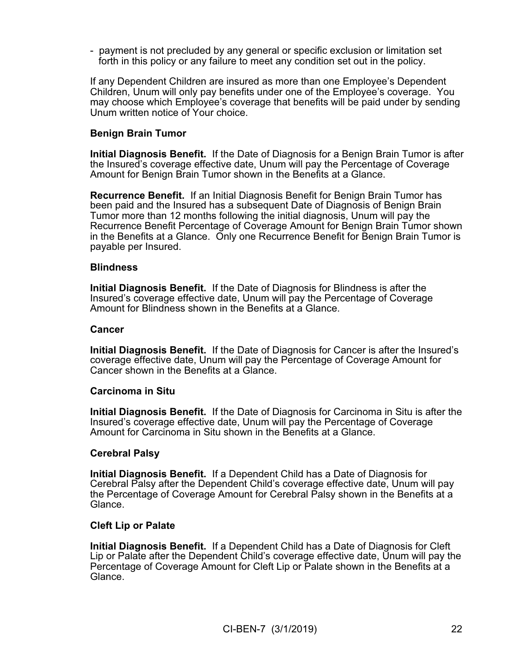- payment is not precluded by any general or specific exclusion or limitation set forth in this policy or any failure to meet any condition set out in the policy.

If any Dependent Children are insured as more than one Employee's Dependent Children, Unum will only pay benefits under one of the Employee's coverage. You may choose which Employee's coverage that benefits will be paid under by sending Unum written notice of Your choice.

# **Benign Brain Tumor**

**Initial Diagnosis Benefit.** If the Date of Diagnosis for a Benign Brain Tumor is after the Insured's coverage effective date, Unum will pay the Percentage of Coverage Amount for Benign Brain Tumor shown in the Benefits at a Glance.

**Recurrence Benefit.** If an Initial Diagnosis Benefit for Benign Brain Tumor has been paid and the Insured has a subsequent Date of Diagnosis of Benign Brain Tumor more than 12 months following the initial diagnosis, Unum will pay the Recurrence Benefit Percentage of Coverage Amount for Benign Brain Tumor shown in the Benefits at a Glance. Only one Recurrence Benefit for Benign Brain Tumor is payable per Insured.

## **Blindness**

**Initial Diagnosis Benefit.** If the Date of Diagnosis for Blindness is after the Insured's coverage effective date, Unum will pay the Percentage of Coverage Amount for Blindness shown in the Benefits at a Glance.

## **Cancer**

**Initial Diagnosis Benefit.** If the Date of Diagnosis for Cancer is after the Insured's coverage effective date, Unum will pay the Percentage of Coverage Amount for Cancer shown in the Benefits at a Glance.

## **Carcinoma in Situ**

**Initial Diagnosis Benefit.** If the Date of Diagnosis for Carcinoma in Situ is after the Insured's coverage effective date, Unum will pay the Percentage of Coverage Amount for Carcinoma in Situ shown in the Benefits at a Glance.

## **Cerebral Palsy**

**Initial Diagnosis Benefit.** If a Dependent Child has a Date of Diagnosis for Cerebral Palsy after the Dependent Child's coverage effective date, Unum will pay the Percentage of Coverage Amount for Cerebral Palsy shown in the Benefits at a Glance.

## **Cleft Lip or Palate**

**Initial Diagnosis Benefit.** If a Dependent Child has a Date of Diagnosis for Cleft Lip or Palate after the Dependent Child's coverage effective date, Unum will pay the Percentage of Coverage Amount for Cleft Lip or Palate shown in the Benefits at a Glance.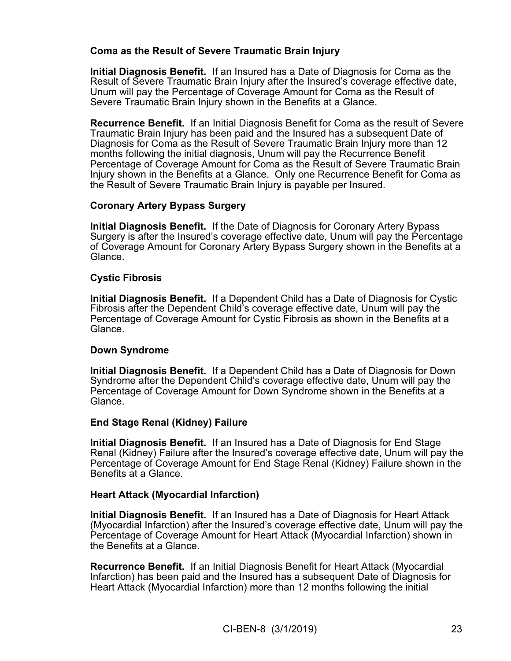# **Coma as the Result of Severe Traumatic Brain Injury**

**Initial Diagnosis Benefit.** If an Insured has a Date of Diagnosis for Coma as the Result of Severe Traumatic Brain Injury after the Insured's coverage effective date, Unum will pay the Percentage of Coverage Amount for Coma as the Result of Severe Traumatic Brain Injury shown in the Benefits at a Glance.

**Recurrence Benefit.** If an Initial Diagnosis Benefit for Coma as the result of Severe Traumatic Brain Injury has been paid and the Insured has a subsequent Date of Diagnosis for Coma as the Result of Severe Traumatic Brain Injury more than 12 months following the initial diagnosis, Unum will pay the Recurrence Benefit Percentage of Coverage Amount for Coma as the Result of Severe Traumatic Brain Injury shown in the Benefits at a Glance. Only one Recurrence Benefit for Coma as the Result of Severe Traumatic Brain Injury is payable per Insured.

# **Coronary Artery Bypass Surgery**

**Initial Diagnosis Benefit.** If the Date of Diagnosis for Coronary Artery Bypass Surgery is after the Insured's coverage effective date, Unum will pay the Percentage of Coverage Amount for Coronary Artery Bypass Surgery shown in the Benefits at a Glance.

# **Cystic Fibrosis**

**Initial Diagnosis Benefit.** If a Dependent Child has a Date of Diagnosis for Cystic Fibrosis after the Dependent Child's coverage effective date, Unum will pay the Percentage of Coverage Amount for Cystic Fibrosis as shown in the Benefits at a Glance.

# **Down Syndrome**

**Initial Diagnosis Benefit.** If a Dependent Child has a Date of Diagnosis for Down Syndrome after the Dependent Child's coverage effective date, Unum will pay the Percentage of Coverage Amount for Down Syndrome shown in the Benefits at a Glance.

# **End Stage Renal (Kidney) Failure**

**Initial Diagnosis Benefit.** If an Insured has a Date of Diagnosis for End Stage Renal (Kidney) Failure after the Insured's coverage effective date, Unum will pay the Percentage of Coverage Amount for End Stage Renal (Kidney) Failure shown in the Benefits at a Glance.

# **Heart Attack (Myocardial Infarction)**

**Initial Diagnosis Benefit.** If an Insured has a Date of Diagnosis for Heart Attack (Myocardial Infarction) after the Insured's coverage effective date, Unum will pay the Percentage of Coverage Amount for Heart Attack (Myocardial Infarction) shown in the Benefits at a Glance.

**Recurrence Benefit.** If an Initial Diagnosis Benefit for Heart Attack (Myocardial Infarction) has been paid and the Insured has a subsequent Date of Diagnosis for Heart Attack (Myocardial Infarction) more than 12 months following the initial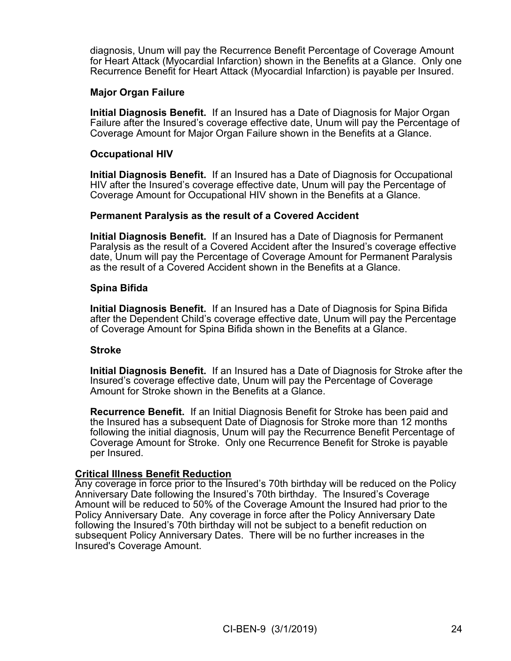diagnosis, Unum will pay the Recurrence Benefit Percentage of Coverage Amount for Heart Attack (Myocardial Infarction) shown in the Benefits at a Glance. Only one Recurrence Benefit for Heart Attack (Myocardial Infarction) is payable per Insured.

# **Major Organ Failure**

**Initial Diagnosis Benefit.** If an Insured has a Date of Diagnosis for Major Organ Failure after the Insured's coverage effective date, Unum will pay the Percentage of Coverage Amount for Major Organ Failure shown in the Benefits at a Glance.

## **Occupational HIV**

**Initial Diagnosis Benefit.** If an Insured has a Date of Diagnosis for Occupational HIV after the Insured's coverage effective date, Unum will pay the Percentage of Coverage Amount for Occupational HIV shown in the Benefits at a Glance.

#### **Permanent Paralysis as the result of a Covered Accident**

**Initial Diagnosis Benefit.** If an Insured has a Date of Diagnosis for Permanent Paralysis as the result of a Covered Accident after the Insured's coverage effective date, Unum will pay the Percentage of Coverage Amount for Permanent Paralysis as the result of a Covered Accident shown in the Benefits at a Glance.

#### **Spina Bifida**

**Initial Diagnosis Benefit.** If an Insured has a Date of Diagnosis for Spina Bifida after the Dependent Child's coverage effective date, Unum will pay the Percentage of Coverage Amount for Spina Bifida shown in the Benefits at a Glance.

#### **Stroke**

**Initial Diagnosis Benefit.** If an Insured has a Date of Diagnosis for Stroke after the Insured's coverage effective date, Unum will pay the Percentage of Coverage Amount for Stroke shown in the Benefits at a Glance.

**Recurrence Benefit.** If an Initial Diagnosis Benefit for Stroke has been paid and the Insured has a subsequent Date of Diagnosis for Stroke more than 12 months following the initial diagnosis, Unum will pay the Recurrence Benefit Percentage of Coverage Amount for Stroke. Only one Recurrence Benefit for Stroke is payable per Insured.

#### **Critical Illness Benefit Reduction**

Any coverage in force prior to the Insured's 70th birthday will be reduced on the Policy Anniversary Date following the Insured's 70th birthday. The Insured's Coverage Amount will be reduced to 50% of the Coverage Amount the Insured had prior to the Policy Anniversary Date. Any coverage in force after the Policy Anniversary Date following the Insured's 70th birthday will not be subject to a benefit reduction on subsequent Policy Anniversary Dates. There will be no further increases in the Insured's Coverage Amount.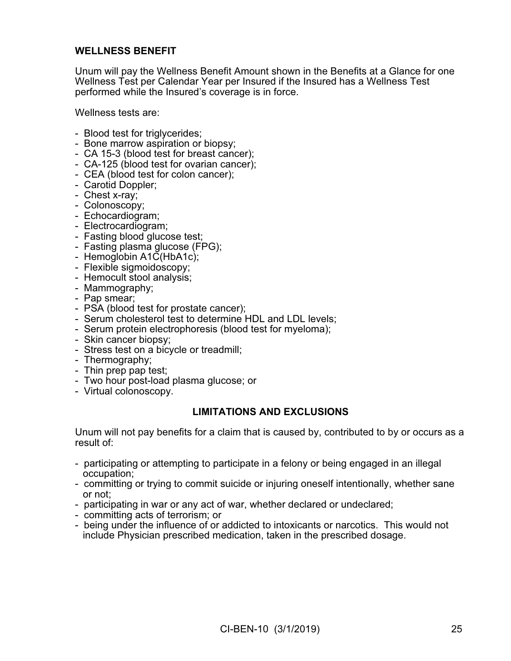# **WELLNESS BENEFIT**

Unum will pay the Wellness Benefit Amount shown in the Benefits at a Glance for one Wellness Test per Calendar Year per Insured if the Insured has a Wellness Test performed while the Insured's coverage is in force.

Wellness tests are:

- Blood test for triglycerides;
- Bone marrow aspiration or biopsy;
- CA 15-3 (blood test for breast cancer);
- CA-125 (blood test for ovarian cancer);
- CEA (blood test for colon cancer);
- Carotid Doppler;
- Chest x-ray;
- Colonoscopy;
- Echocardiogram;
- Electrocardiogram;
- Fasting blood glucose test;
- Fasting plasma glucose (FPG);
- Hemoglobin A1C(HbA1c);
- Flexible sigmoidoscopy;
- Hemocult stool analysis;
- Mammography;
- Pap smear;
- PSA (blood test for prostate cancer);
- Serum cholesterol test to determine HDL and LDL levels;
- Serum protein electrophoresis (blood test for myeloma);
- Skin cancer biopsy;
- Stress test on a bicycle or treadmill;
- Thermography;
- Thin prep pap test;
- Two hour post-load plasma glucose; or
- Virtual colonoscopy.

## **LIMITATIONS AND EXCLUSIONS**

Unum will not pay benefits for a claim that is caused by, contributed to by or occurs as a result of:

- participating or attempting to participate in a felony or being engaged in an illegal occupation;
- committing or trying to commit suicide or injuring oneself intentionally, whether sane or not;
- participating in war or any act of war, whether declared or undeclared;
- committing acts of terrorism; or
- being under the influence of or addicted to intoxicants or narcotics. This would not include Physician prescribed medication, taken in the prescribed dosage.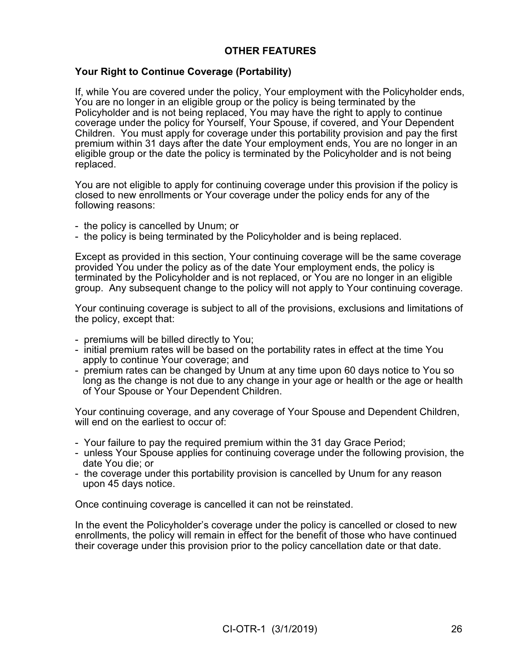# **OTHER FEATURES**

# **Your Right to Continue Coverage (Portability)**

If, while You are covered under the policy, Your employment with the Policyholder ends, You are no longer in an eligible group or the policy is being terminated by the Policyholder and is not being replaced, You may have the right to apply to continue coverage under the policy for Yourself, Your Spouse, if covered, and Your Dependent Children. You must apply for coverage under this portability provision and pay the first premium within 31 days after the date Your employment ends, You are no longer in an eligible group or the date the policy is terminated by the Policyholder and is not being replaced.

You are not eligible to apply for continuing coverage under this provision if the policy is closed to new enrollments or Your coverage under the policy ends for any of the following reasons:

- the policy is cancelled by Unum; or
- the policy is being terminated by the Policyholder and is being replaced.

Except as provided in this section, Your continuing coverage will be the same coverage provided You under the policy as of the date Your employment ends, the policy is terminated by the Policyholder and is not replaced, or You are no longer in an eligible group. Any subsequent change to the policy will not apply to Your continuing coverage.

Your continuing coverage is subject to all of the provisions, exclusions and limitations of the policy, except that:

- premiums will be billed directly to You;
- initial premium rates will be based on the portability rates in effect at the time You apply to continue Your coverage; and
- premium rates can be changed by Unum at any time upon 60 days notice to You so long as the change is not due to any change in your age or health or the age or health of Your Spouse or Your Dependent Children.

Your continuing coverage, and any coverage of Your Spouse and Dependent Children, will end on the earliest to occur of:

- Your failure to pay the required premium within the 31 day Grace Period;
- unless Your Spouse applies for continuing coverage under the following provision, the date You die; or
- the coverage under this portability provision is cancelled by Unum for any reason upon 45 days notice.

Once continuing coverage is cancelled it can not be reinstated.

In the event the Policyholder's coverage under the policy is cancelled or closed to new enrollments, the policy will remain in effect for the benefit of those who have continued their coverage under this provision prior to the policy cancellation date or that date.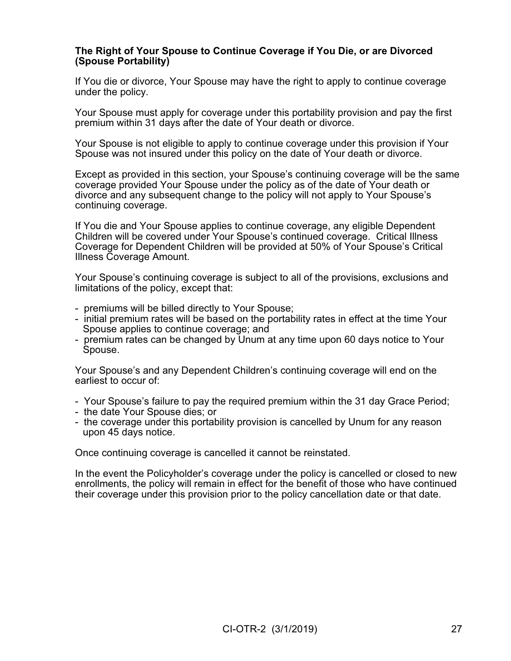## **The Right of Your Spouse to Continue Coverage if You Die, or are Divorced (Spouse Portability)**

If You die or divorce, Your Spouse may have the right to apply to continue coverage under the policy.

Your Spouse must apply for coverage under this portability provision and pay the first premium within 31 days after the date of Your death or divorce.

Your Spouse is not eligible to apply to continue coverage under this provision if Your Spouse was not insured under this policy on the date of Your death or divorce.

Except as provided in this section, your Spouse's continuing coverage will be the same coverage provided Your Spouse under the policy as of the date of Your death or divorce and any subsequent change to the policy will not apply to Your Spouse's continuing coverage.

If You die and Your Spouse applies to continue coverage, any eligible Dependent Children will be covered under Your Spouse's continued coverage. Critical Illness Coverage for Dependent Children will be provided at 50% of Your Spouse's Critical Illness Coverage Amount.

Your Spouse's continuing coverage is subject to all of the provisions, exclusions and limitations of the policy, except that:

- premiums will be billed directly to Your Spouse;
- initial premium rates will be based on the portability rates in effect at the time Your Spouse applies to continue coverage; and
- premium rates can be changed by Unum at any time upon 60 days notice to Your Spouse.

Your Spouse's and any Dependent Children's continuing coverage will end on the earliest to occur of:

- Your Spouse's failure to pay the required premium within the 31 day Grace Period;
- the date Your Spouse dies; or
- the coverage under this portability provision is cancelled by Unum for any reason upon 45 days notice.

Once continuing coverage is cancelled it cannot be reinstated.

In the event the Policyholder's coverage under the policy is cancelled or closed to new enrollments, the policy will remain in effect for the benefit of those who have continued their coverage under this provision prior to the policy cancellation date or that date.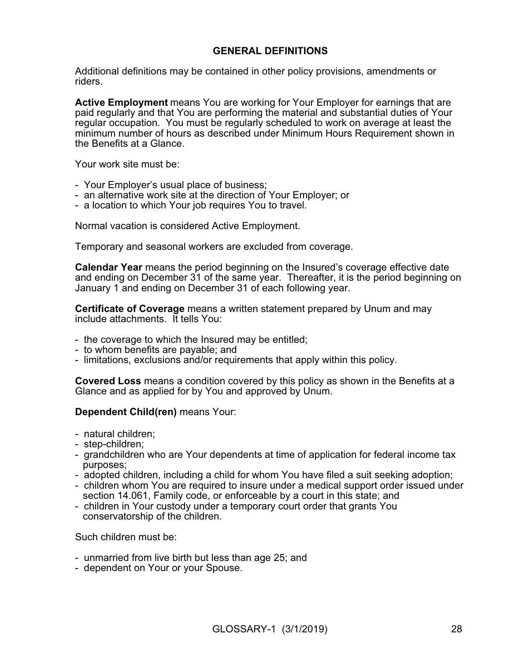# **GENERAL DEFINITIONS**

Additional definitions may be contained in other policy provisions, amendments or riders.

**Active Employment** means You are working for Your Employer for earnings that are paid regularly and that You are performing the material and substantial duties of Your regular occupation. You must be regularly scheduled to work on average at least the minimum number of hours as described under Minimum Hours Requirement shown in the Benefits at a Glance.

Your work site must be:

- Your Employer's usual place of business;
- an alternative work site at the direction of Your Employer; or
- a location to which Your job requires You to travel.

Normal vacation is considered Active Employment.

Temporary and seasonal workers are excluded from coverage.

**Calendar Year** means the period beginning on the Insured's coverage effective date and ending on December 31 of the same year. Thereafter, it is the period beginning on January 1 and ending on December 31 of each following year.

**Certificate of Coverage** means a written statement prepared by Unum and may include attachments. It tells You:

- the coverage to which the Insured may be entitled;
- to whom benefits are payable; and
- limitations, exclusions and/or requirements that apply within this policy.

**Covered Loss** means a condition covered by this policy as shown in the Benefits at a Glance and as applied for by You and approved by Unum.

## **Dependent Child(ren)** means Your:

- natural children;
- step-children;
- grandchildren who are Your dependents at time of application for federal income tax purposes;
- adopted children, including a child for whom You have filed a suit seeking adoption;
- children whom You are required to insure under a medical support order issued under section 14.061, Family code, or enforceable by a court in this state; and
- children in Your custody under a temporary court order that grants You conservatorship of the children.

Such children must be:

- unmarried from live birth but less than age 25; and
- dependent on Your or your Spouse.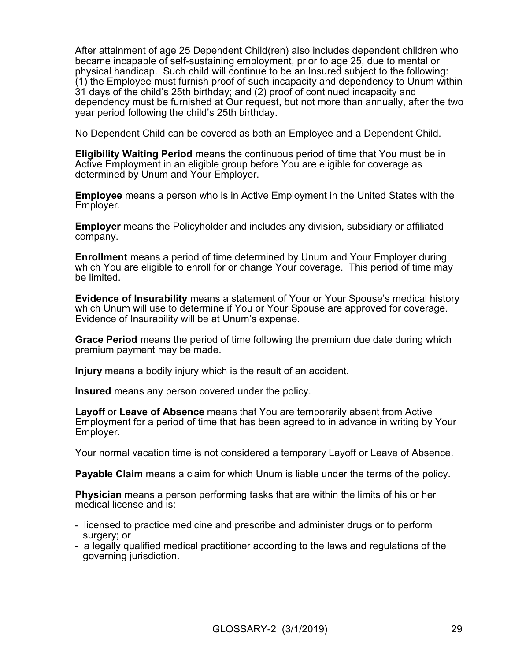After attainment of age 25 Dependent Child(ren) also includes dependent children who became incapable of self-sustaining employment, prior to age 25, due to mental or physical handicap. Such child will continue to be an Insured subject to the following: (1) the Employee must furnish proof of such incapacity and dependency to Unum within 31 days of the child's 25th birthday; and (2) proof of continued incapacity and dependency must be furnished at Our request, but not more than annually, after the two year period following the child's 25th birthday.

No Dependent Child can be covered as both an Employee and a Dependent Child.

**Eligibility Waiting Period** means the continuous period of time that You must be in Active Employment in an eligible group before You are eligible for coverage as determined by Unum and Your Employer.

**Employee** means a person who is in Active Employment in the United States with the Employer.

**Employer** means the Policyholder and includes any division, subsidiary or affiliated company.

**Enrollment** means a period of time determined by Unum and Your Employer during which You are eligible to enroll for or change Your coverage. This period of time may be limited.

**Evidence of Insurability** means a statement of Your or Your Spouse's medical history which Unum will use to determine if You or Your Spouse are approved for coverage. Evidence of Insurability will be at Unum's expense.

**Grace Period** means the period of time following the premium due date during which premium payment may be made.

**Injury** means a bodily injury which is the result of an accident.

**Insured** means any person covered under the policy.

**Layoff** or **Leave of Absence** means that You are temporarily absent from Active Employment for a period of time that has been agreed to in advance in writing by Your Employer.

Your normal vacation time is not considered a temporary Layoff or Leave of Absence.

**Payable Claim** means a claim for which Unum is liable under the terms of the policy.

**Physician** means a person performing tasks that are within the limits of his or her medical license and is:

- licensed to practice medicine and prescribe and administer drugs or to perform surgery; or
- a legally qualified medical practitioner according to the laws and regulations of the governing jurisdiction.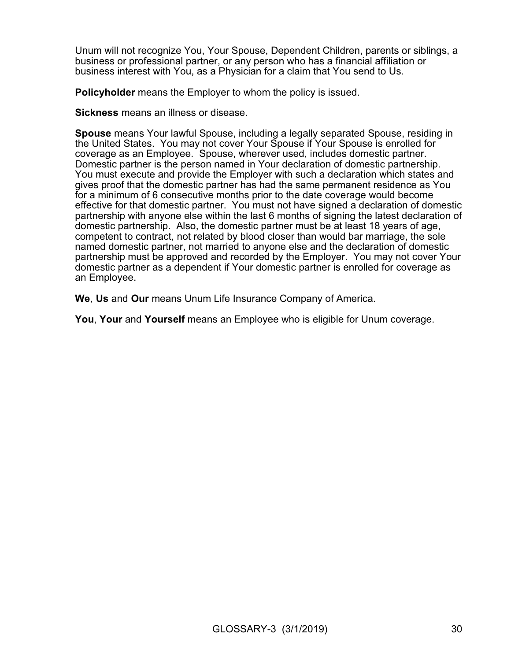Unum will not recognize You, Your Spouse, Dependent Children, parents or siblings, a business or professional partner, or any person who has a financial affiliation or business interest with You, as a Physician for a claim that You send to Us.

**Policyholder** means the Employer to whom the policy is issued.

**Sickness** means an illness or disease.

**Spouse** means Your lawful Spouse, including a legally separated Spouse, residing in the United States. You may not cover Your Spouse if Your Spouse is enrolled for coverage as an Employee. Spouse, wherever used, includes domestic partner. Domestic partner is the person named in Your declaration of domestic partnership. You must execute and provide the Employer with such a declaration which states and gives proof that the domestic partner has had the same permanent residence as You for a minimum of 6 consecutive months prior to the date coverage would become effective for that domestic partner. You must not have signed a declaration of domestic partnership with anyone else within the last 6 months of signing the latest declaration of domestic partnership. Also, the domestic partner must be at least 18 years of age, competent to contract, not related by blood closer than would bar marriage, the sole named domestic partner, not married to anyone else and the declaration of domestic partnership must be approved and recorded by the Employer. You may not cover Your domestic partner as a dependent if Your domestic partner is enrolled for coverage as an Employee.

**We**, **Us** and **Our** means Unum Life Insurance Company of America.

**You**, **Your** and **Yourself** means an Employee who is eligible for Unum coverage.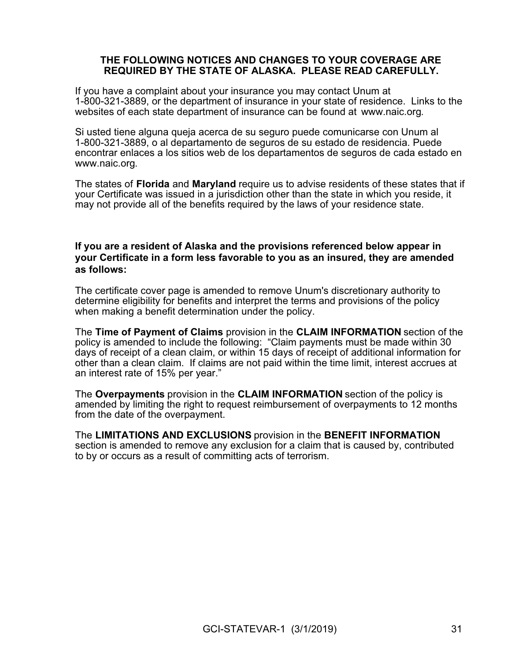## **THE FOLLOWING NOTICES AND CHANGES TO YOUR COVERAGE ARE REQUIRED BY THE STATE OF ALASKA. PLEASE READ CAREFULLY.**

If you have a complaint about your insurance you may contact Unum at 1-800-321-3889, or the department of insurance in your state of residence. Links to the websites of each state department of insurance can be found at [www.naic.org.](http://www.naic.org/)

Si usted tiene alguna queja acerca de su seguro puede comunicarse con Unum al 1-800-321-3889, o al departamento de seguros de su estado de residencia. Puede encontrar enlaces a los sitios web de los departamentos de seguros de cada estado en [www.naic.org.](http://www.naic.org)

The states of **Florida** and **Maryland** require us to advise residents of these states that if your Certificate was issued in a jurisdiction other than the state in which you reside, it may not provide all of the benefits required by the laws of your residence state.

# **If you are a resident of Alaska and the provisions referenced below appear in your Certificate in a form less favorable to you as an insured, they are amended as follows:**

The certificate cover page is amended to remove Unum's discretionary authority to determine eligibility for benefits and interpret the terms and provisions of the policy when making a benefit determination under the policy.

The **Time of Payment of Claims** provision in the **CLAIM INFORMATION** section of the policy is amended to include the following: "Claim payments must be made within 30 days of receipt of a clean claim, or within 15 days of receipt of additional information for other than a clean claim. If claims are not paid within the time limit, interest accrues at an interest rate of 15% per year."

The **Overpayments** provision in the **CLAIM INFORMATION** section of the policy is amended by limiting the right to request reimbursement of overpayments to 12 months from the date of the overpayment.

The **LIMITATIONS AND EXCLUSIONS** provision in the **BENEFIT INFORMATION** section is amended to remove any exclusion for a claim that is caused by, contributed to by or occurs as a result of committing acts of terrorism.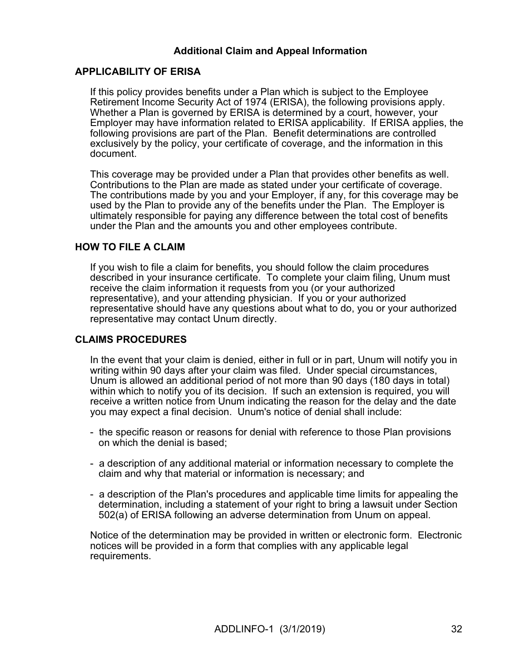# **Additional Claim and Appeal Information**

# **APPLICABILITY OF ERISA**

If this policy provides benefits under a Plan which is subject to the Employee Retirement Income Security Act of 1974 (ERISA), the following provisions apply. Whether a Plan is governed by ERISA is determined by a court, however, your Employer may have information related to ERISA applicability. If ERISA applies, the following provisions are part of the Plan. Benefit determinations are controlled exclusively by the policy, your certificate of coverage, and the information in this document.

This coverage may be provided under a Plan that provides other benefits as well. Contributions to the Plan are made as stated under your certificate of coverage. The contributions made by you and your Employer, if any, for this coverage may be used by the Plan to provide any of the benefits under the Plan. The Employer is ultimately responsible for paying any difference between the total cost of benefits under the Plan and the amounts you and other employees contribute.

# **HOW TO FILE A CLAIM**

If you wish to file a claim for benefits, you should follow the claim procedures described in your insurance certificate. To complete your claim filing, Unum must receive the claim information it requests from you (or your authorized representative), and your attending physician. If you or your authorized representative should have any questions about what to do, you or your authorized representative may contact Unum directly.

# **CLAIMS PROCEDURES**

In the event that your claim is denied, either in full or in part, Unum will notify you in writing within 90 days after your claim was filed. Under special circumstances, Unum is allowed an additional period of not more than 90 days (180 days in total) within which to notify you of its decision. If such an extension is required, you will receive a written notice from Unum indicating the reason for the delay and the date you may expect a final decision. Unum's notice of denial shall include:

- the specific reason or reasons for denial with reference to those Plan provisions on which the denial is based;
- a description of any additional material or information necessary to complete the claim and why that material or information is necessary; and
- a description of the Plan's procedures and applicable time limits for appealing the determination, including a statement of your right to bring a lawsuit under Section 502(a) of ERISA following an adverse determination from Unum on appeal.

Notice of the determination may be provided in written or electronic form. Electronic notices will be provided in a form that complies with any applicable legal requirements.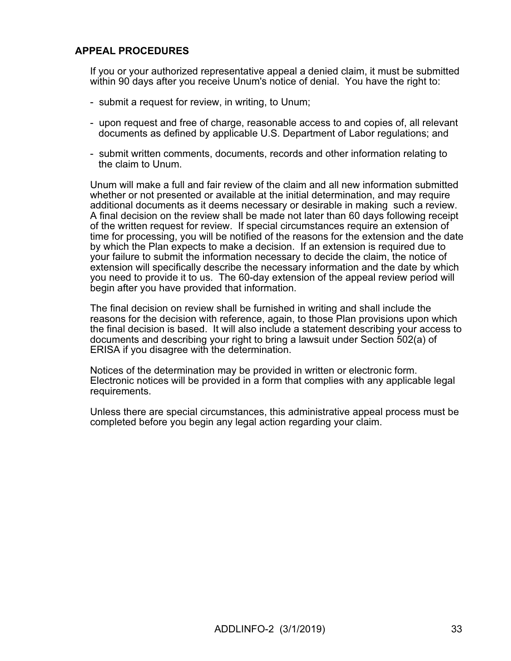# **APPEAL PROCEDURES**

If you or your authorized representative appeal a denied claim, it must be submitted within 90 days after you receive Unum's notice of denial. You have the right to:

- submit a request for review, in writing, to Unum;
- upon request and free of charge, reasonable access to and copies of, all relevant documents as defined by applicable U.S. Department of Labor regulations; and
- submit written comments, documents, records and other information relating to the claim to Unum.

Unum will make a full and fair review of the claim and all new information submitted whether or not presented or available at the initial determination, and may require additional documents as it deems necessary or desirable in making such a review. A final decision on the review shall be made not later than 60 days following receipt of the written request for review. If special circumstances require an extension of time for processing, you will be notified of the reasons for the extension and the date by which the Plan expects to make a decision. If an extension is required due to your failure to submit the information necessary to decide the claim, the notice of extension will specifically describe the necessary information and the date by which you need to provide it to us. The 60-day extension of the appeal review period will begin after you have provided that information.

The final decision on review shall be furnished in writing and shall include the reasons for the decision with reference, again, to those Plan provisions upon which the final decision is based. It will also include a statement describing your access to documents and describing your right to bring a lawsuit under Section 502(a) of ERISA if you disagree with the determination.

Notices of the determination may be provided in written or electronic form. Electronic notices will be provided in a form that complies with any applicable legal requirements.

Unless there are special circumstances, this administrative appeal process must be completed before you begin any legal action regarding your claim.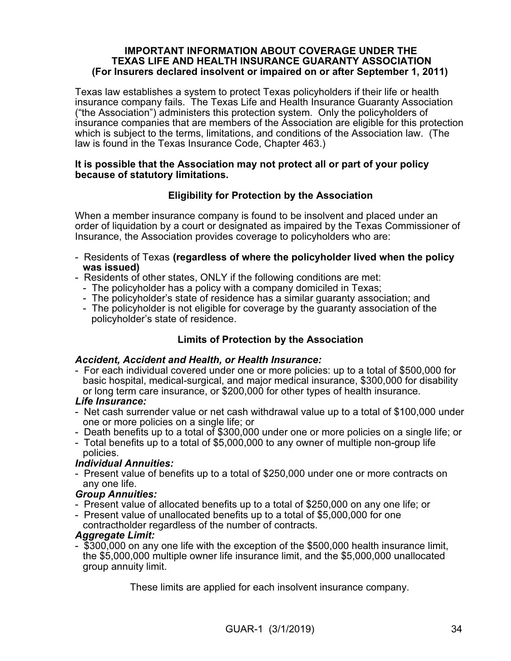## **IMPORTANT INFORMATION ABOUT COVERAGE UNDER THE TEXAS LIFE AND HEALTH INSURANCE GUARANTY ASSOCIATION (For Insurers declared insolvent or impaired on or after September 1, 2011)**

Texas law establishes a system to protect Texas policyholders if their life or health insurance company fails. The Texas Life and Health Insurance Guaranty Association ("the Association") administers this protection system. Only the policyholders of insurance companies that are members of the Association are eligible for this protection which is subject to the terms, limitations, and conditions of the Association law. (The law is found in the Texas Insurance Code, Chapter 463.)

## **It is possible that the Association may not protect all or part of your policy because of statutory limitations.**

# **Eligibility for Protection by the Association**

When a member insurance company is found to be insolvent and placed under an order of liquidation by a court or designated as impaired by the Texas Commissioner of Insurance, the Association provides coverage to policyholders who are:

- Residents of Texas **(regardless of where the policyholder lived when the policy was issued)**
- Residents of other states, ONLY if the following conditions are met:
	- The policyholder has a policy with a company domiciled in Texas;
	- The policyholder's state of residence has a similar guaranty association; and
	- The policyholder is not eligible for coverage by the guaranty association of the policyholder's state of residence.

# **Limits of Protection by the Association**

## *Accident, Accident and Health, or Health Insurance:*

- For each individual covered under one or more policies: up to a total of \$500,000 for basic hospital, medical-surgical, and major medical insurance, \$300,000 for disability or long term care insurance, or \$200,000 for other types of health insurance.

## *Life Insurance:*

- Net cash surrender value or net cash withdrawal value up to a total of \$100,000 under one or more policies on a single life; or
- Death benefits up to a total of \$300,000 under one or more policies on a single life; or
- Total benefits up to a total of \$5,000,000 to any owner of multiple non-group life policies.

# *Individual Annuities:*

- Present value of benefits up to a total of \$250,000 under one or more contracts on any one life.

# *Group Annuities:*

- Present value of allocated benefits up to a total of \$250,000 on any one life; or
- Present value of unallocated benefits up to a total of \$5,000,000 for one contractholder regardless of the number of contracts.

# *Aggregate Limit:*

- \$300,000 on any one life with the exception of the \$500,000 health insurance limit, the \$5,000,000 multiple owner life insurance limit, and the \$5,000,000 unallocated group annuity limit.

These limits are applied for each insolvent insurance company.